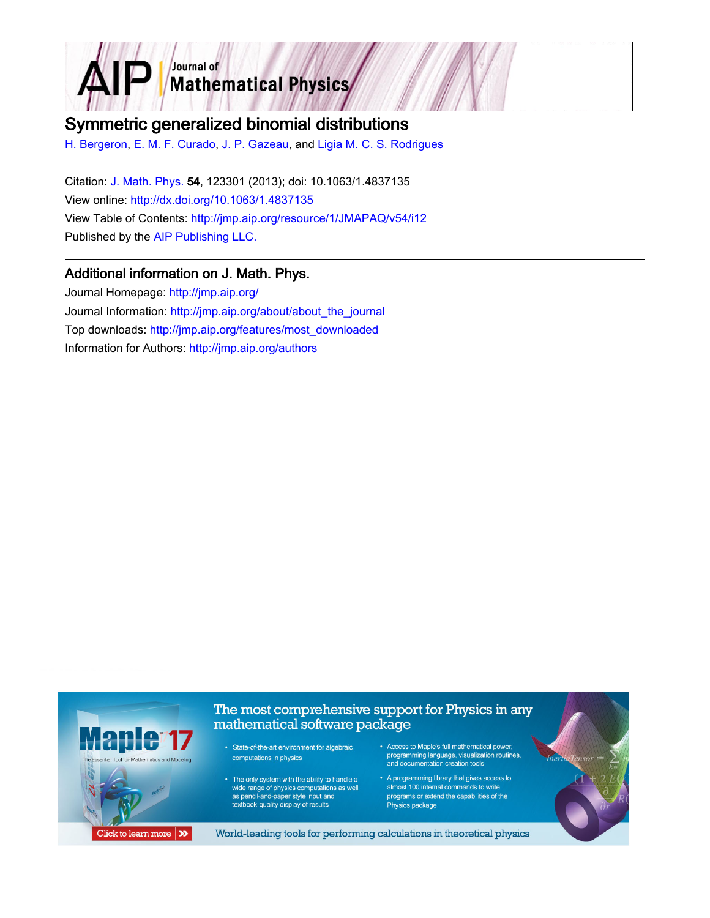

# Symmetric generalized binomial distributions

[H. Bergeron,](http://jmp.aip.org/search?sortby=newestdate&q=&searchzone=2&searchtype=searchin&faceted=faceted&key=AIP_ALL&possible1=H. Bergeron&possible1zone=author&alias=&displayid=AIP&ver=pdfcov) [E. M. F. Curado,](http://jmp.aip.org/search?sortby=newestdate&q=&searchzone=2&searchtype=searchin&faceted=faceted&key=AIP_ALL&possible1=E. M. F. Curado&possible1zone=author&alias=&displayid=AIP&ver=pdfcov) [J. P. Gazeau](http://jmp.aip.org/search?sortby=newestdate&q=&searchzone=2&searchtype=searchin&faceted=faceted&key=AIP_ALL&possible1=J. P. Gazeau&possible1zone=author&alias=&displayid=AIP&ver=pdfcov), and [Ligia M. C. S. Rodrigues](http://jmp.aip.org/search?sortby=newestdate&q=&searchzone=2&searchtype=searchin&faceted=faceted&key=AIP_ALL&possible1=Ligia M. C. S. Rodrigues&possible1zone=author&alias=&displayid=AIP&ver=pdfcov)

Citation: [J. Math. Phys.](http://jmp.aip.org/?ver=pdfcov) 54, 123301 (2013); doi: 10.1063/1.4837135 View online: [http://dx.doi.org/10.1063/1.4837135](http://link.aip.org/link/doi/10.1063/1.4837135?ver=pdfcov) View Table of Contents: [http://jmp.aip.org/resource/1/JMAPAQ/v54/i12](http://jmp.aip.org/resource/1/JMAPAQ/v54/i12?ver=pdfcov) Published by the [AIP Publishing LLC.](http://www.aip.org/?ver=pdfcov)

## Additional information on J. Math. Phys.

Journal Homepage: [http://jmp.aip.org/](http://jmp.aip.org/?ver=pdfcov) Journal Information: [http://jmp.aip.org/about/about\\_the\\_journal](http://jmp.aip.org/about/about_the_journal?ver=pdfcov) Top downloads: [http://jmp.aip.org/features/most\\_downloaded](http://jmp.aip.org/features/most_downloaded?ver=pdfcov) Information for Authors: [http://jmp.aip.org/authors](http://jmp.aip.org/authors?ver=pdfcov)

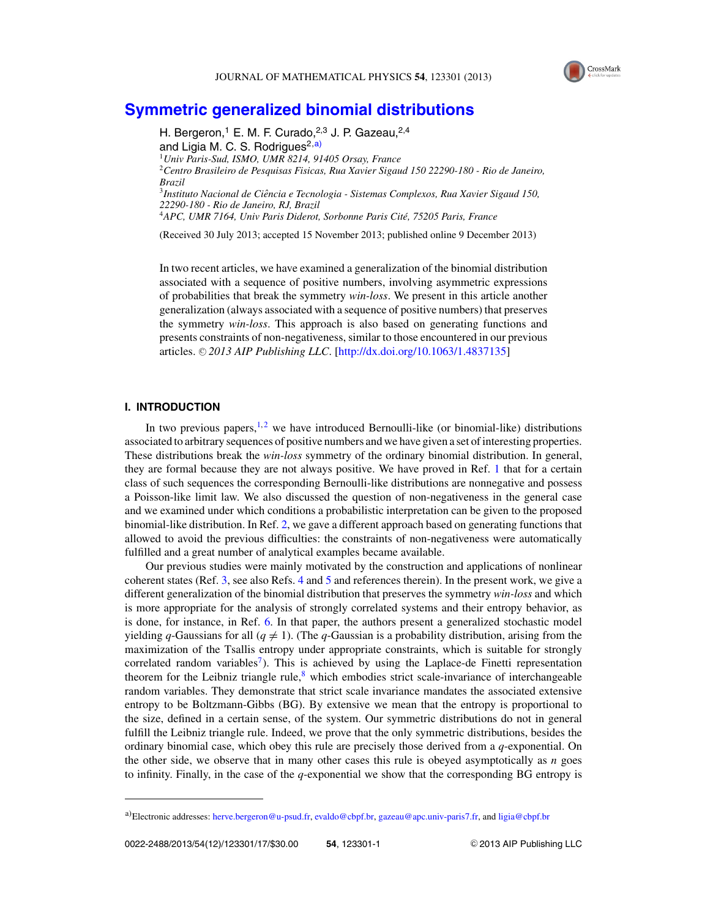

## **[Symmetric generalized binomial distributions](http://dx.doi.org/10.1063/1.4837135)**

H. Bergeron,<sup>1</sup> E. M. F. Curado,<sup>2,3</sup> J. P. Gazeau,<sup>2,4</sup> and Ligia M. C. S. Rodrigues<sup>2,a)</sup> <sup>1</sup>*Univ Paris-Sud, ISMO, UMR 8214, 91405 Orsay, France* <sup>2</sup>*Centro Brasileiro de Pesquisas Fisicas, Rua Xavier Sigaud 150 22290-180 - Rio de Janeiro, Brazil* <sup>3</sup>*Instituto Nacional de Ciencia e Tecnologia - Sistemas Complexos, Rua Xavier Sigaud 150, ˆ 22290-180 - Rio de Janeiro, RJ, Brazil* <sup>4</sup>*APC, UMR 7164, Univ Paris Diderot, Sorbonne Paris Cite, 75205 Paris, France ´*

(Received 30 July 2013; accepted 15 November 2013; published online 9 December 2013)

In two recent articles, we have examined a generalization of the binomial distribution associated with a sequence of positive numbers, involving asymmetric expressions of probabilities that break the symmetry *win-loss*. We present in this article another generalization (always associated with a sequence of positive numbers) that preserves the symmetry *win-loss*. This approach is also based on generating functions and presents constraints of non-negativeness, similar to those encountered in our previous articles. © 2013 AIP Publishing LLC. [\[http://dx.doi.org/10.1063/1.4837135\]](http://dx.doi.org/10.1063/1.4837135)

#### **I. INTRODUCTION**

In two previous papers,<sup>1,[2](#page-16-0)</sup> we have introduced Bernoulli-like (or binomial-like) distributions associated to arbitrary sequences of positive numbers and we have given a set of interesting properties. These distributions break the *win-loss* symmetry of the ordinary binomial distribution. In general, they are formal because they are not always positive. We have proved in Ref. [1](#page-16-0) that for a certain class of such sequences the corresponding Bernoulli-like distributions are nonnegative and possess a Poisson-like limit law. We also discussed the question of non-negativeness in the general case and we examined under which conditions a probabilistic interpretation can be given to the proposed binomial-like distribution. In Ref. [2,](#page-16-0) we gave a different approach based on generating functions that allowed to avoid the previous difficulties: the constraints of non-negativeness were automatically fulfilled and a great number of analytical examples became available.

Our previous studies were mainly motivated by the construction and applications of nonlinear coherent states (Ref. [3,](#page-16-0) see also Refs. [4](#page-16-0) and [5](#page-16-0) and references therein). In the present work, we give a different generalization of the binomial distribution that preserves the symmetry *win-loss* and which is more appropriate for the analysis of strongly correlated systems and their entropy behavior, as is done, for instance, in Ref. [6.](#page-16-0) In that paper, the authors present a generalized stochastic model yielding *q*-Gaussians for all ( $q \neq 1$ ). (The *q*-Gaussian is a probability distribution, arising from the maximization of the Tsallis entropy under appropriate constraints, which is suitable for strongly correlated random variables<sup>7</sup>). This is achieved by using the Laplace-de Finetti representation theorem for the Leibniz triangle rule, $8$  which embodies strict scale-invariance of interchangeable random variables. They demonstrate that strict scale invariance mandates the associated extensive entropy to be Boltzmann-Gibbs (BG). By extensive we mean that the entropy is proportional to the size, defined in a certain sense, of the system. Our symmetric distributions do not in general fulfill the Leibniz triangle rule. Indeed, we prove that the only symmetric distributions, besides the ordinary binomial case, which obey this rule are precisely those derived from a *q*-exponential. On the other side, we observe that in many other cases this rule is obeyed asymptotically as *n* goes to infinity. Finally, in the case of the *q*-exponential we show that the corresponding BG entropy is

a)Electronic addresses: [herve.bergeron@u-psud.fr,](mailto: herve.bergeron@u-psud.fr) [evaldo@cbpf.br,](mailto: evaldo@cbpf.br) [gazeau@apc.univ-paris7.fr,](mailto: gazeau@apc.univ-paris7.fr) and [ligia@cbpf.br](mailto: ligia@cbpf.br)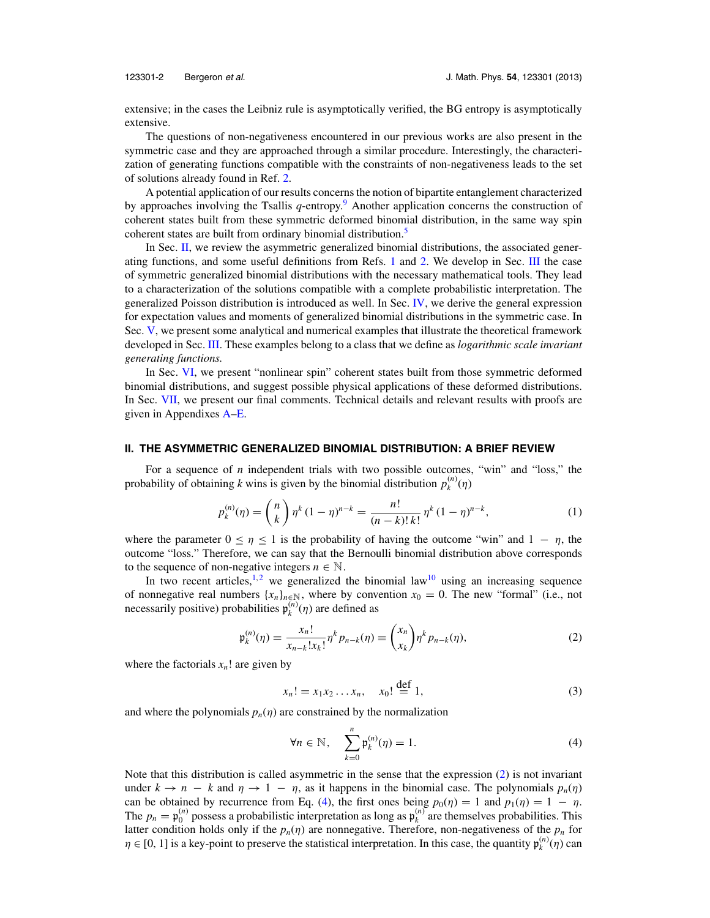<span id="page-2-0"></span>

extensive; in the cases the Leibniz rule is asymptotically verified, the BG entropy is asymptotically extensive.

The questions of non-negativeness encountered in our previous works are also present in the symmetric case and they are approached through a similar procedure. Interestingly, the characterization of generating functions compatible with the constraints of non-negativeness leads to the set of solutions already found in Ref. [2.](#page-16-0)

A potential application of our results concerns the notion of bipartite entanglement characterized by approaches involving the Tsallis *q*-entropy.[9](#page-17-0) Another application concerns the construction of coherent states built from these symmetric deformed binomial distribution, in the same way spin coherent states are built from ordinary binomial distribution.<sup>[5](#page-16-0)</sup>

In Sec. II, we review the asymmetric generalized binomial distributions, the associated generating functions, and some useful definitions from Refs. [1](#page-16-0) and [2.](#page-16-0) We develop in Sec. [III](#page-3-0) the case of symmetric generalized binomial distributions with the necessary mathematical tools. They lead to a characterization of the solutions compatible with a complete probabilistic interpretation. The generalized Poisson distribution is introduced as well. In Sec. [IV,](#page-6-0) we derive the general expression for expectation values and moments of generalized binomial distributions in the symmetric case. In Sec. [V,](#page-6-0) we present some analytical and numerical examples that illustrate the theoretical framework developed in Sec. [III.](#page-3-0) These examples belong to a class that we define as *logarithmic scale invariant generating functions.*

In Sec. [VI,](#page-11-0) we present "nonlinear spin" coherent states built from those symmetric deformed binomial distributions, and suggest possible physical applications of these deformed distributions. In Sec. [VII,](#page-13-0) we present our final comments. Technical details and relevant results with proofs are given in Appendixes [A](#page-13-0)[–E.](#page-16-0)

#### **II. THE ASYMMETRIC GENERALIZED BINOMIAL DISTRIBUTION: A BRIEF REVIEW**

For a sequence of *n* independent trials with two possible outcomes, "win" and "loss," the probability of obtaining *k* wins is given by the binomial distribution  $p_k^{(n)}(\eta)$ 

$$
p_k^{(n)}(\eta) = \binom{n}{k} \eta^k (1 - \eta)^{n-k} = \frac{n!}{(n-k)! \, k!} \, \eta^k (1 - \eta)^{n-k},\tag{1}
$$

where the parameter  $0 \le \eta \le 1$  is the probability of having the outcome "win" and  $1 - \eta$ , the outcome "loss." Therefore, we can say that the Bernoulli binomial distribution above corresponds to the sequence of non-negative integers  $n \in \mathbb{N}$ .

In two recent articles,<sup>1,[2](#page-16-0)</sup> we generalized the binomial law<sup>10</sup> using an increasing sequence of nonnegative real numbers  $\{x_n\}_{n\in\mathbb{N}}$ , where by convention  $x_0 = 0$ . The new "formal" (i.e., not necessarily positive) probabilities  $\mathfrak{p}_k^{(n)}(\eta)$  are defined as

$$
\mathfrak{p}_{k}^{(n)}(\eta) = \frac{x_{n}!}{x_{n-k}!x_{k}!} \eta^{k} p_{n-k}(\eta) \equiv \binom{x_{n}}{x_{k}} \eta^{k} p_{n-k}(\eta), \tag{2}
$$

where the factorials  $x_n$ ! are given by

$$
x_n! = x_1 x_2 \dots x_n, \quad x_0! \stackrel{\text{def}}{=} 1,
$$
 (3)

and where the polynomials  $p_n(\eta)$  are constrained by the normalization

$$
\forall n \in \mathbb{N}, \quad \sum_{k=0}^{n} \mathfrak{p}_{k}^{(n)}(\eta) = 1. \tag{4}
$$

Note that this distribution is called asymmetric in the sense that the expression (2) is not invariant under  $k \to n - k$  and  $\eta \to 1 - \eta$ , as it happens in the binomial case. The polynomials  $p_n(\eta)$ can be obtained by recurrence from Eq. (4), the first ones being  $p_0(\eta) = 1$  and  $p_1(\eta) = 1 - \eta$ . The  $p_n = \mathfrak{p}_0^{(n)}$  possess a probabilistic interpretation as long as  $\mathfrak{p}_k^{(n)}$  are themselves probabilities. This latter condition holds only if the  $p_n(\eta)$  are nonnegative. Therefore, non-negativeness of the  $p_n$  for  $\eta \in [0, 1]$  is a key-point to preserve the statistical interpretation. In this case, the quantity  $p_k^{(n)}(\eta)$  can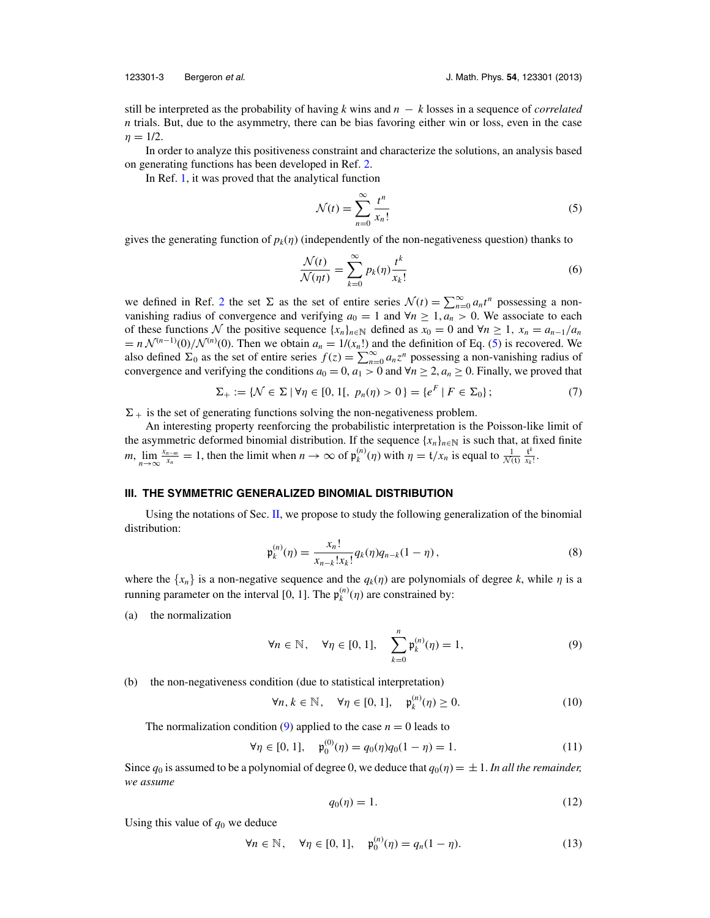<span id="page-3-0"></span>

still be interpreted as the probability of having *k* wins and *n* − *k* losses in a sequence of *correlated n* trials. But, due to the asymmetry, there can be bias favoring either win or loss, even in the case  $n = 1/2$ .

In order to analyze this positiveness constraint and characterize the solutions, an analysis based on generating functions has been developed in Ref. [2.](#page-16-0)

In Ref. [1,](#page-16-0) it was proved that the analytical function

$$
\mathcal{N}(t) = \sum_{n=0}^{\infty} \frac{t^n}{x_n!}
$$
\n(5)

gives the generating function of  $p_k(\eta)$  (independently of the non-negativeness question) thanks to

$$
\frac{\mathcal{N}(t)}{\mathcal{N}(\eta t)} = \sum_{k=0}^{\infty} p_k(\eta) \frac{t^k}{x_k!}
$$
\n(6)

we defined in Ref. [2](#page-16-0) the set  $\Sigma$  as the set of entire series  $\mathcal{N}(t) = \sum_{n=0}^{\infty} a_n t^n$  possessing a nonvanishing radius of convergence and verifying  $a_0 = 1$  and  $\forall n \geq 1, a_n > 0$ . We associate to each of these functions N the positive sequence  ${x_n}_{n \in \mathbb{N}}$  defined as  $x_0 = 0$  and  $\forall n \ge 1$ ,  $x_n = a_{n-1}/a_n$  $= n \mathcal{N}^{(n-1)}(0)/\mathcal{N}^{(n)}(0)$ . Then we obtain  $a_n = 1/(x_n!)$  and the definition of Eq. (5) is recovered. We also defined  $\Sigma_0$  as the set of entire series  $f(z) = \sum_{n=0}^{\infty} a_n z^n$  possessing a non-vanishing radius of convergence and verifying the conditions  $a_0 = 0$ ,  $a_1 > 0$  and  $\forall n \ge 2$ ,  $a_n \ge 0$ . Finally, we proved that

$$
\Sigma_+ := \{ \mathcal{N} \in \Sigma \mid \forall \eta \in [0, 1[, \ p_n(\eta) > 0 \} = \{ e^F \mid F \in \Sigma_0 \};\tag{7}
$$

 $\Sigma_{+}$  is the set of generating functions solving the non-negativeness problem.

An interesting property reenforcing the probabilistic interpretation is the Poisson-like limit of the asymmetric deformed binomial distribution. If the sequence  $\{x_n\}_{n\in\mathbb{N}}$  is such that, at fixed finite *m*,  $lim_{n\to\infty}$  $\frac{x_n - m}{x_n} = 1$ , then the limit when  $n \to \infty$  of  $\mathfrak{p}_k^{(n)}(\eta)$  with  $\eta = \frac{t}{x_n}$  is equal to  $\frac{1}{\mathcal{N}(t)} \frac{t^k}{x_k!}$ .

#### **III. THE SYMMETRIC GENERALIZED BINOMIAL DISTRIBUTION**

Using the notations of Sec. [II,](#page-2-0) we propose to study the following generalization of the binomial distribution:

$$
\mathfrak{p}_k^{(n)}(\eta) = \frac{x_n!}{x_{n-k}!x_k!} q_k(\eta) q_{n-k} (1 - \eta), \qquad (8)
$$

where the  $\{x_n\}$  is a non-negative sequence and the  $q_k(\eta)$  are polynomials of degree *k*, while  $\eta$  is a running parameter on the interval [0, 1]. The  $\mathfrak{p}_k^{(n)}(\eta)$  are constrained by:

(a) the normalization

$$
\forall n \in \mathbb{N}, \quad \forall \eta \in [0, 1], \quad \sum_{k=0}^{n} \mathfrak{p}_{k}^{(n)}(\eta) = 1,\tag{9}
$$

(b) the non-negativeness condition (due to statistical interpretation)

$$
\forall n, k \in \mathbb{N}, \quad \forall \eta \in [0, 1], \quad \mathfrak{p}_k^{(n)}(\eta) \ge 0. \tag{10}
$$

The normalization condition (9) applied to the case  $n = 0$  leads to

$$
\forall \eta \in [0, 1], \quad \mathfrak{p}_0^{(0)}(\eta) = q_0(\eta)q_0(1 - \eta) = 1. \tag{11}
$$

Since  $q_0$  is assumed to be a polynomial of degree 0, we deduce that  $q_0(\eta) = \pm 1$ . In all the remainder, *we assume*

$$
q_0(\eta) = 1.\tag{12}
$$

Using this value of  $q_0$  we deduce

$$
\forall n \in \mathbb{N}, \quad \forall \eta \in [0, 1], \quad \mathfrak{p}_0^{(n)}(\eta) = q_n(1 - \eta). \tag{13}
$$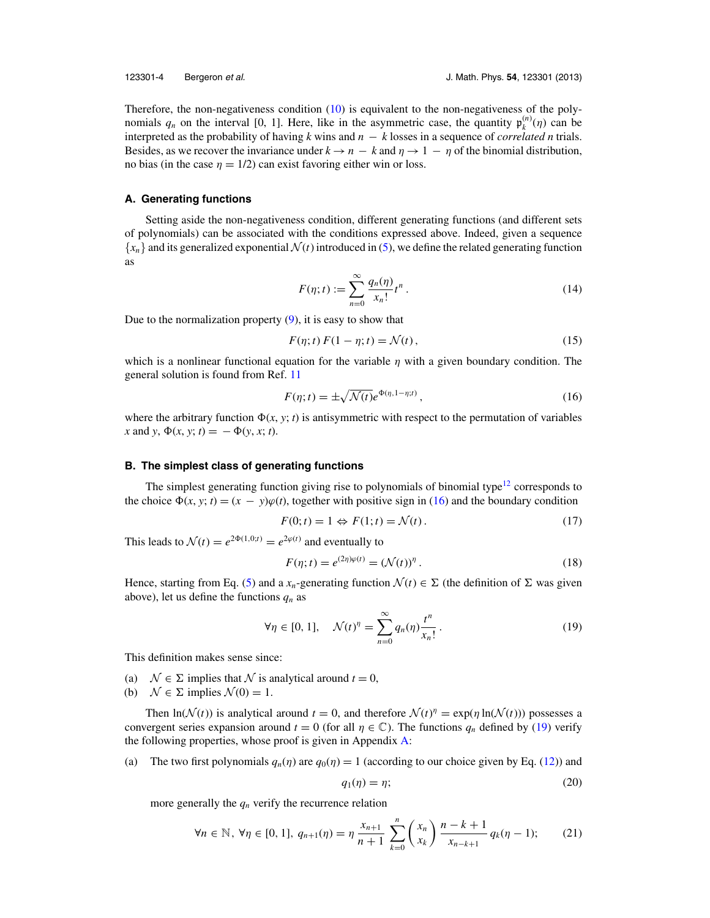<span id="page-4-0"></span>Therefore, the non-negativeness condition [\(10\)](#page-3-0) is equivalent to the non-negativeness of the polynomials  $q_n$  on the interval [0, 1]. Here, like in the asymmetric case, the quantity  $\mathfrak{p}_k^{(n)}(\eta)$  can be interpreted as the probability of having *k* wins and *n* − *k* losses in a sequence of *correlated n* trials. Besides, as we recover the invariance under  $k \to n - k$  and  $\eta \to 1 - \eta$  of the binomial distribution, no bias (in the case  $\eta = 1/2$ ) can exist favoring either win or loss.

#### **A. Generating functions**

Setting aside the non-negativeness condition, different generating functions (and different sets of polynomials) can be associated with the conditions expressed above. Indeed, given a sequence  ${x_n}$  and its generalized exponential  $\mathcal{N}(t)$  introduced in [\(5\)](#page-3-0), we define the related generating function as

$$
F(\eta;t) := \sum_{n=0}^{\infty} \frac{q_n(\eta)}{x_n!} t^n.
$$
 (14)

Due to the normalization property  $(9)$ , it is easy to show that

$$
F(\eta; t) F(1 - \eta; t) = \mathcal{N}(t), \qquad (15)
$$

which is a nonlinear functional equation for the variable  $\eta$  with a given boundary condition. The general solution is found from Ref. [11](#page-17-0)

$$
F(\eta;t) = \pm \sqrt{\mathcal{N}(t)} e^{\Phi(\eta,1-\eta;t)}, \qquad (16)
$$

where the arbitrary function  $\Phi(x, y; t)$  is antisymmetric with respect to the permutation of variables  $x$  and  $y$ ,  $\Phi(x, y; t) = -\Phi(y, x; t)$ .

#### **B. The simplest class of generating functions**

The simplest generating function giving rise to polynomials of binomial type<sup>[12](#page-17-0)</sup> corresponds to the choice  $\Phi(x, y; t) = (x - y)\varphi(t)$ , together with positive sign in (16) and the boundary condition

$$
F(0; t) = 1 \Leftrightarrow F(1; t) = \mathcal{N}(t).
$$
\n<sup>(17)</sup>

This leads to  $\mathcal{N}(t) = e^{2\Phi(1,0;t)} = e^{2\varphi(t)}$  and eventually to

$$
F(\eta; t) = e^{(2\eta)\varphi(t)} = (\mathcal{N}(t))^{\eta}.
$$
 (18)

Hence, starting from Eq. [\(5\)](#page-3-0) and a  $x_n$ -generating function  $\mathcal{N}(t) \in \Sigma$  (the definition of  $\Sigma$  was given above), let us define the functions  $q_n$  as

$$
\forall \eta \in [0, 1], \quad \mathcal{N}(t)^{\eta} = \sum_{n=0}^{\infty} q_n(\eta) \frac{t^n}{x_n!}.
$$
 (19)

This definition makes sense since:

- (a)  $\mathcal{N} \in \Sigma$  implies that  $\mathcal N$  is analytical around  $t = 0$ ,
- (b)  $\mathcal{N} \in \Sigma$  implies  $\mathcal{N}(0) = 1$ .

Then  $\ln(\mathcal{N}(t))$  is analytical around  $t = 0$ , and therefore  $\mathcal{N}(t)^{\eta} = \exp(\eta \ln(\mathcal{N}(t)))$  possesses a convergent series expansion around  $t = 0$  (for all  $\eta \in \mathbb{C}$ ). The functions  $q_n$  defined by (19) verify the following properties, whose proof is given in Appendix [A:](#page-13-0)

(a) The two first polynomials  $q_n(\eta)$  are  $q_0(\eta) = 1$  (according to our choice given by Eq. [\(12\)](#page-3-0)) and

$$
q_1(\eta) = \eta; \tag{20}
$$

more generally the  $q_n$  verify the recurrence relation

$$
\forall n \in \mathbb{N}, \ \forall \eta \in [0, 1], \ q_{n+1}(\eta) = \eta \frac{x_{n+1}}{n+1} \sum_{k=0}^{n} {x_n \choose x_k} \frac{n-k+1}{x_{n-k+1}} q_k(\eta - 1); \tag{21}
$$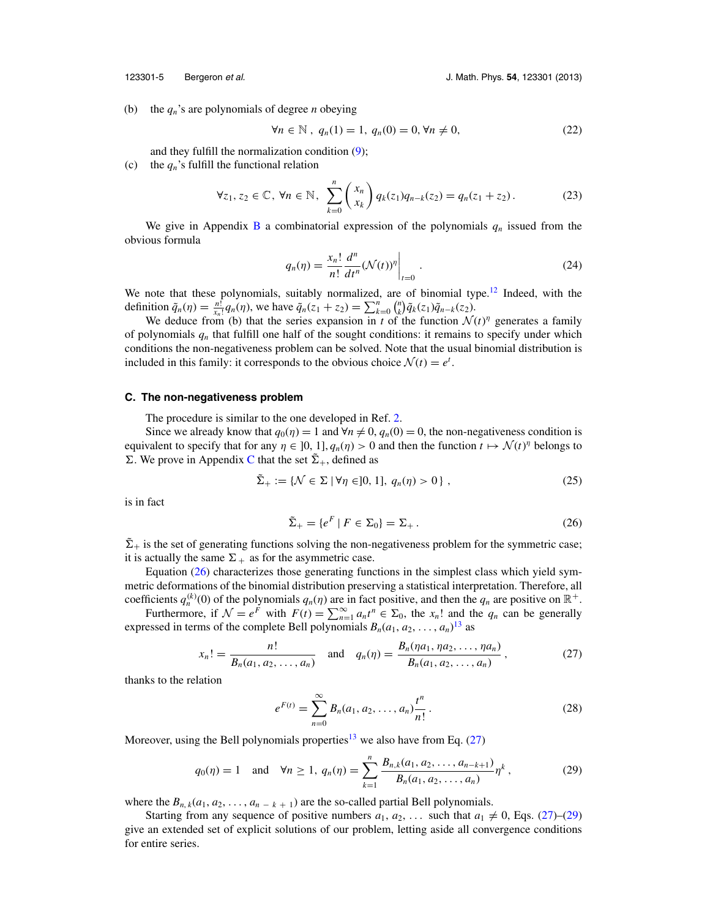<span id="page-5-0"></span>

(b) the *qn*'s are polynomials of degree *n* obeying

$$
\forall n \in \mathbb{N}, q_n(1) = 1, q_n(0) = 0, \forall n \neq 0,
$$
 (22)

and they fulfill the normalization condition [\(9\)](#page-3-0);

(c) the  $q_n$ 's fulfill the functional relation

$$
\forall z_1, z_2 \in \mathbb{C}, \forall n \in \mathbb{N}, \ \sum_{k=0}^n \binom{x_n}{x_k} q_k(z_1) q_{n-k}(z_2) = q_n(z_1 + z_2). \tag{23}
$$

We give in Appendix [B](#page-14-0) a combinatorial expression of the polynomials  $q_n$  issued from the obvious formula

$$
q_n(\eta) = \frac{x_n!}{n!} \frac{d^n}{dt^n} (\mathcal{N}(t))^{\eta} \bigg|_{t=0} \tag{24}
$$

We note that these polynomials, suitably normalized, are of binomial type.<sup>[12](#page-17-0)</sup> Indeed, with the definition  $\tilde{q}_n(\eta) = \frac{n!}{x_n!} q_n(\eta)$ , we have  $\tilde{q}_n(z_1 + z_2) = \sum_{k=0}^n {n \choose k} \tilde{q}_k(z_1) \tilde{q}_{n-k}(z_2)$ .

We deduce from (b) that the series expansion in *t* of the function  $\mathcal{N}(t)$ <sup>*n*</sup> generates a family of polynomials *qn* that fulfill one half of the sought conditions: it remains to specify under which conditions the non-negativeness problem can be solved. Note that the usual binomial distribution is included in this family: it corresponds to the obvious choice  $\mathcal{N}(t) = e^t$ .

#### **C. The non-negativeness problem**

The procedure is similar to the one developed in Ref. [2.](#page-16-0)

Since we already know that  $q_0(\eta) = 1$  and  $\forall n \neq 0$ ,  $q_n(0) = 0$ , the non-negativeness condition is equivalent to specify that for any  $\eta \in ]0, 1]$ ,  $q_n(\eta) > 0$  and then the function  $t \mapsto \mathcal{N}(t)^\eta$  belongs to  $\Sigma$ . We prove in Appendix [C](#page-14-0) that the set  $\tilde{\Sigma}_+$ , defined as

$$
\tilde{\Sigma}_+ := \{ \mathcal{N} \in \Sigma \mid \forall \eta \in ]0, 1], q_n(\eta) > 0 \},\tag{25}
$$

is in fact

$$
\tilde{\Sigma}_{+} = \{ e^{F} \mid F \in \Sigma_{0} \} = \Sigma_{+} . \tag{26}
$$

 $\tilde{\Sigma}_{+}$  is the set of generating functions solving the non-negativeness problem for the symmetric case; it is actually the same  $\Sigma_+$  as for the asymmetric case.

Equation (26) characterizes those generating functions in the simplest class which yield symmetric deformations of the binomial distribution preserving a statistical interpretation. Therefore, all coefficients  $q_n^{(k)}(0)$  of the polynomials  $q_n(\eta)$  are in fact positive, and then the  $q_n$  are positive on  $\mathbb{R}^+$ .

Furthermore, if  $\mathcal{N} = e^{\vec{F}}$  with  $F(t) = \sum_{n=1}^{\infty} a_n t^n \in \Sigma_0$ , the  $x_n!$  and the  $q_n$  can be generally expressed in terms of the complete Bell polynomials  $B_n(a_1, a_2, \ldots, a_n)^{13}$  $B_n(a_1, a_2, \ldots, a_n)^{13}$  $B_n(a_1, a_2, \ldots, a_n)^{13}$  as

$$
x_n! = \frac{n!}{B_n(a_1, a_2, \dots, a_n)} \quad \text{and} \quad q_n(\eta) = \frac{B_n(\eta a_1, \eta a_2, \dots, \eta a_n)}{B_n(a_1, a_2, \dots, a_n)},
$$
 (27)

thanks to the relation

$$
e^{F(t)} = \sum_{n=0}^{\infty} B_n(a_1, a_2, \dots, a_n) \frac{t^n}{n!}.
$$
 (28)

Moreover, using the Bell polynomials properties<sup>13</sup> we also have from Eq.  $(27)$ 

$$
q_0(\eta) = 1 \quad \text{and} \quad \forall n \ge 1, \ q_n(\eta) = \sum_{k=1}^n \frac{B_{n,k}(a_1, a_2, \dots, a_{n-k+1})}{B_n(a_1, a_2, \dots, a_n)} \eta^k,
$$
 (29)

where the  $B_{n,k}(a_1, a_2, \ldots, a_{n-k+1})$  are the so-called partial Bell polynomials.

Starting from any sequence of positive numbers  $a_1, a_2, \ldots$  such that  $a_1 \neq 0$ , Eqs. (27)–(29) give an extended set of explicit solutions of our problem, letting aside all convergence conditions for entire series.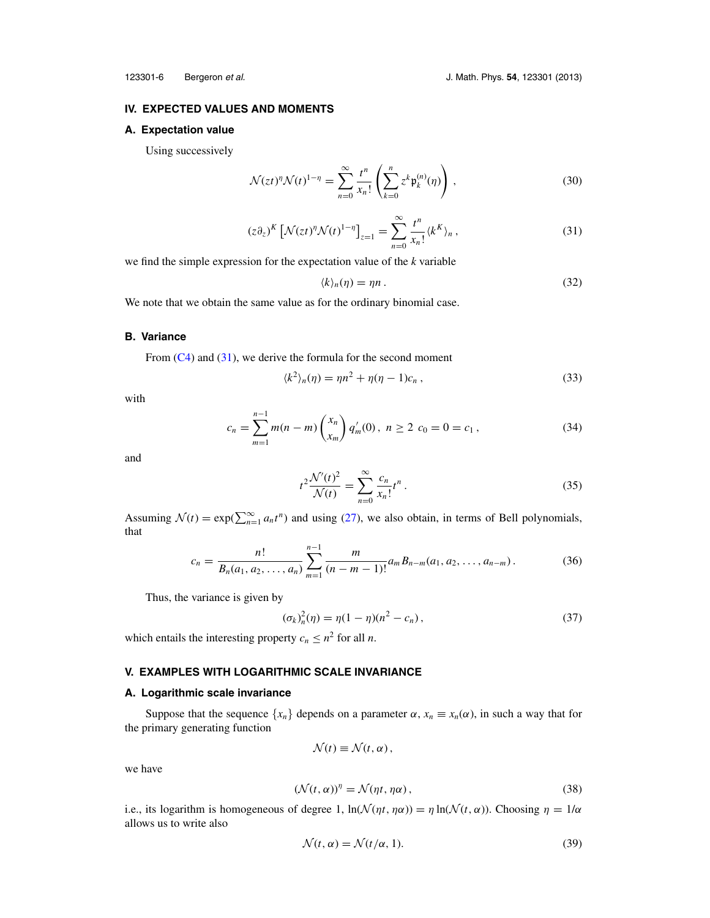### <span id="page-6-0"></span>**IV. EXPECTED VALUES AND MOMENTS**

#### **A. Expectation value**

Using successively

$$
\mathcal{N}(zt)^{\eta}\mathcal{N}(t)^{1-\eta} = \sum_{n=0}^{\infty} \frac{t^n}{x_n!} \left( \sum_{k=0}^n z^k \mathfrak{p}_k^{(n)}(\eta) \right), \qquad (30)
$$

$$
(z\partial_z)^K \left[ \mathcal{N}(zt)^{\eta} \mathcal{N}(t)^{1-\eta} \right]_{z=1} = \sum_{n=0}^{\infty} \frac{t^n}{x_n!} \langle k^K \rangle_n , \qquad (31)
$$

we find the simple expression for the expectation value of the *k* variable

$$
\langle k \rangle_n(\eta) = \eta n \,. \tag{32}
$$

We note that we obtain the same value as for the ordinary binomial case.

#### **B. Variance**

From  $(C4)$  and  $(31)$ , we derive the formula for the second moment

$$
\langle k^2 \rangle_n(\eta) = \eta n^2 + \eta(\eta - 1)c_n \,, \tag{33}
$$

with

$$
c_n = \sum_{m=1}^{n-1} m(n-m) \binom{x_n}{x_m} q'_m(0), \ n \ge 2 \ c_0 = 0 = c_1 \,, \tag{34}
$$

and

$$
t^{2} \frac{\mathcal{N}'(t)^{2}}{\mathcal{N}(t)} = \sum_{n=0}^{\infty} \frac{c_{n}}{x_{n}!} t^{n}.
$$
 (35)

Assuming  $\mathcal{N}(t) = \exp(\sum_{n=1}^{\infty} a_n t^n)$  and using [\(27\)](#page-5-0), we also obtain, in terms of Bell polynomials, that

$$
c_n = \frac{n!}{B_n(a_1, a_2, \dots, a_n)} \sum_{m=1}^{n-1} \frac{m}{(n-m-1)!} a_m B_{n-m}(a_1, a_2, \dots, a_{n-m}). \tag{36}
$$

Thus, the variance is given by

$$
(\sigma_k)_n^2(\eta) = \eta(1 - \eta)(n^2 - c_n), \qquad (37)
$$

which entails the interesting property  $c_n \leq n^2$  for all *n*.

#### **V. EXAMPLES WITH LOGARITHMIC SCALE INVARIANCE**

#### **A. Logarithmic scale invariance**

Suppose that the sequence  $\{x_n\}$  depends on a parameter  $\alpha$ ,  $x_n \equiv x_n(\alpha)$ , in such a way that for the primary generating function

$$
\mathcal{N}(t) \equiv \mathcal{N}(t, \alpha),
$$

we have

$$
(\mathcal{N}(t,\alpha))^{\eta} = \mathcal{N}(\eta t, \eta \alpha), \qquad (38)
$$

i.e., its logarithm is homogeneous of degree 1,  $\ln(\mathcal{N}(\eta t, \eta \alpha)) = \eta \ln(\mathcal{N}(t, \alpha))$ . Choosing  $\eta = 1/\alpha$ allows us to write also

$$
\mathcal{N}(t, \alpha) = \mathcal{N}(t/\alpha, 1). \tag{39}
$$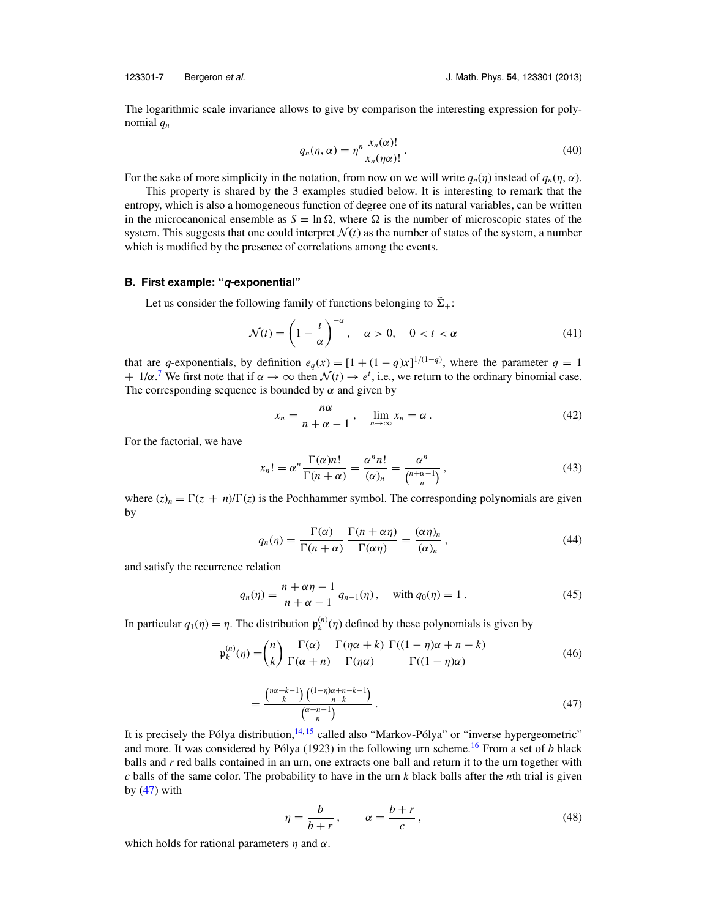<span id="page-7-0"></span>

The logarithmic scale invariance allows to give by comparison the interesting expression for polynomial *qn*

$$
q_n(\eta, \alpha) = \eta^n \frac{x_n(\alpha)!}{x_n(\eta \alpha)!} \,. \tag{40}
$$

For the sake of more simplicity in the notation, from now on we will write  $q_n(\eta)$  instead of  $q_n(\eta, \alpha)$ .

This property is shared by the 3 examples studied below. It is interesting to remark that the entropy, which is also a homogeneous function of degree one of its natural variables, can be written in the microcanonical ensemble as  $S = \ln \Omega$ , where  $\Omega$  is the number of microscopic states of the system. This suggests that one could interpret  $\mathcal{N}(t)$  as the number of states of the system, a number which is modified by the presence of correlations among the events.

#### **B. First example: "q-exponential"**

Let us consider the following family of functions belonging to  $\tilde{\Sigma}_{+}$ :

$$
\mathcal{N}(t) = \left(1 - \frac{t}{\alpha}\right)^{-\alpha}, \quad \alpha > 0, \quad 0 < t < \alpha \tag{41}
$$

that are *q*-exponentials, by definition  $e_q(x) = [1 + (1 - q)x]^{1/(1-q)}$ , where the parameter  $q = 1$  $+ 1/\alpha$ .<sup>[7](#page-17-0)</sup> We first note that if  $\alpha \to \infty$  then  $\mathcal{N}(t) \to e^t$ , i.e., we return to the ordinary binomial case. The corresponding sequence is bounded by  $\alpha$  and given by

$$
x_n = \frac{n\alpha}{n + \alpha - 1}, \quad \lim_{n \to \infty} x_n = \alpha.
$$
 (42)

For the factorial, we have

$$
x_n! = \alpha^n \frac{\Gamma(\alpha)n!}{\Gamma(n+\alpha)} = \frac{\alpha^n n!}{(\alpha)_n} = \frac{\alpha^n}{\binom{n+\alpha-1}{n}},\tag{43}
$$

where  $(z)_n = \Gamma(z + n)/\Gamma(z)$  is the Pochhammer symbol. The corresponding polynomials are given by

$$
q_n(\eta) = \frac{\Gamma(\alpha)}{\Gamma(n+\alpha)} \frac{\Gamma(n+\alpha\eta)}{\Gamma(\alpha\eta)} = \frac{(\alpha\eta)_n}{(\alpha)_n},
$$
\n(44)

and satisfy the recurrence relation

$$
q_n(\eta) = \frac{n + \alpha \eta - 1}{n + \alpha - 1} q_{n-1}(\eta), \quad \text{with } q_0(\eta) = 1.
$$
 (45)

In particular  $q_1(\eta) = \eta$ . The distribution  $\mathfrak{p}_k^{(n)}(\eta)$  defined by these polynomials is given by

$$
\mathfrak{p}_k^{(n)}(\eta) = \binom{n}{k} \frac{\Gamma(\alpha)}{\Gamma(\alpha+n)} \frac{\Gamma(\eta \alpha+k)}{\Gamma(\eta \alpha)} \frac{\Gamma((1-\eta)\alpha+n-k)}{\Gamma((1-\eta)\alpha)} \tag{46}
$$

$$
=\frac{\binom{n\alpha+k-1}{k}\binom{(1-n)\alpha+n-k-1}{n-k}}{\binom{\alpha+n-1}{n}}.
$$
\n
$$
(47)
$$

It is precisely the Pólya distribution,  $^{14,15}$  $^{14,15}$  $^{14,15}$  $^{14,15}$  called also "Markov-Pólya" or "inverse hypergeometric" and more. It was considered by Pólya (1923) in the following urn scheme.<sup>[16](#page-17-0)</sup> From a set of *b* black balls and *r* red balls contained in an urn, one extracts one ball and return it to the urn together with *c* balls of the same color. The probability to have in the urn *k* black balls after the *n*th trial is given by  $(47)$  with

$$
\eta = \frac{b}{b+r}, \qquad \alpha = \frac{b+r}{c}, \tag{48}
$$

which holds for rational parameters  $\eta$  and  $\alpha$ .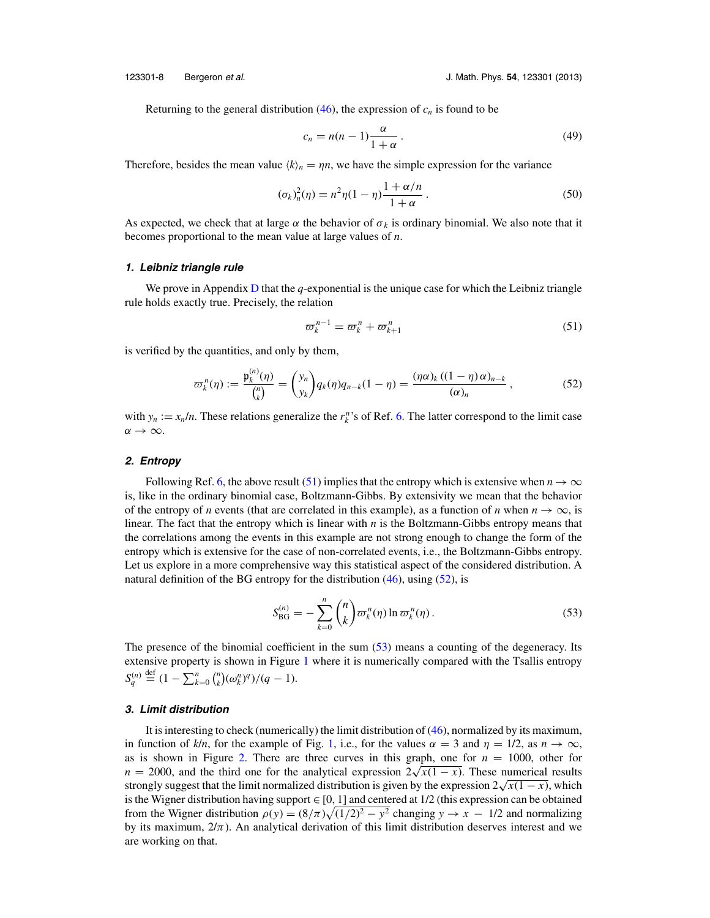Returning to the general distribution  $(46)$ , the expression of  $c_n$  is found to be

$$
c_n = n(n-1)\frac{\alpha}{1+\alpha} \,. \tag{49}
$$

Therefore, besides the mean value  $\langle k \rangle_n = \eta n$ , we have the simple expression for the variance

$$
(\sigma_k)_n^2(\eta) = n^2 \eta (1 - \eta) \frac{1 + \alpha/n}{1 + \alpha} \,. \tag{50}
$$

As expected, we check that at large  $\alpha$  the behavior of  $\sigma_k$  is ordinary binomial. We also note that it becomes proportional to the mean value at large values of *n*.

#### **1. Leibniz triangle rule**

We prove in Appendix [D](#page-15-0) that the *q*-exponential is the unique case for which the Leibniz triangle rule holds exactly true. Precisely, the relation

$$
\varpi_k^{n-1} = \varpi_k^n + \varpi_{k+1}^n \tag{51}
$$

is verified by the quantities, and only by them,

$$
\varpi_k^n(\eta) := \frac{\mathfrak{p}_k^{(n)}(\eta)}{{n \choose k}} = {y_n \choose y_k} q_k(\eta) q_{n-k} (1-\eta) = \frac{(\eta \alpha)_k ((1-\eta) \alpha)_{n-k}}{(\alpha)_n}, \qquad (52)
$$

with  $y_n := x_n/n$ . These relations generalize the  $r_k^n$ 's of Ref. [6.](#page-16-0) The latter correspond to the limit case  $\alpha \rightarrow \infty$ .

#### **2. Entropy**

Following Ref. [6,](#page-16-0) the above result (51) implies that the entropy which is extensive when  $n \to \infty$ is, like in the ordinary binomial case, Boltzmann-Gibbs. By extensivity we mean that the behavior of the entropy of *n* events (that are correlated in this example), as a function of *n* when  $n \to \infty$ , is linear. The fact that the entropy which is linear with *n* is the Boltzmann-Gibbs entropy means that the correlations among the events in this example are not strong enough to change the form of the entropy which is extensive for the case of non-correlated events, i.e., the Boltzmann-Gibbs entropy. Let us explore in a more comprehensive way this statistical aspect of the considered distribution. A natural definition of the BG entropy for the distribution  $(46)$ , using  $(52)$ , is

$$
S_{\text{BG}}^{(n)} = -\sum_{k=0}^{n} {n \choose k} \varpi_k^n(\eta) \ln \varpi_k^n(\eta).
$$
 (53)

The presence of the binomial coefficient in the sum (53) means a counting of the degeneracy. Its extensive property is shown in Figure [1](#page-9-0) where it is numerically compared with the Tsallis entropy  $S_q^{(n)}$  $\sum_{k=0}^{n} {n \choose k} (\omega_k^n)^q)/(q-1).$ 

#### **3. Limit distribution**

It is interesting to check (numerically) the limit distribution of [\(46\)](#page-7-0), normalized by its maximum, in function of *k*/*n*, for the example of Fig. [1,](#page-9-0) i.e., for the values  $\alpha = 3$  and  $\eta = 1/2$ , as  $n \to \infty$ , as is shown in Figure [2.](#page-9-0) There are three curves in this graph, one for  $n = 1000$ , other for  $n = 2000$ , and the third one for the analytical expression  $2\sqrt{x(1-x)}$ . These numerical results strongly suggest that the limit normalized distribution is given by the expression  $2\sqrt{x(1-x)}$ , which is the Wigner distribution having support  $\in [0, 1]$  and centered at 1/2 (this expression can be obtained from the Wigner distribution  $\rho(y) = (8/\pi)\sqrt{(1/2)^2 - y^2}$  changing  $y \to x - 1/2$  and normalizing by its maximum,  $2/\pi$ ). An analytical derivation of this limit distribution deserves interest and we are working on that.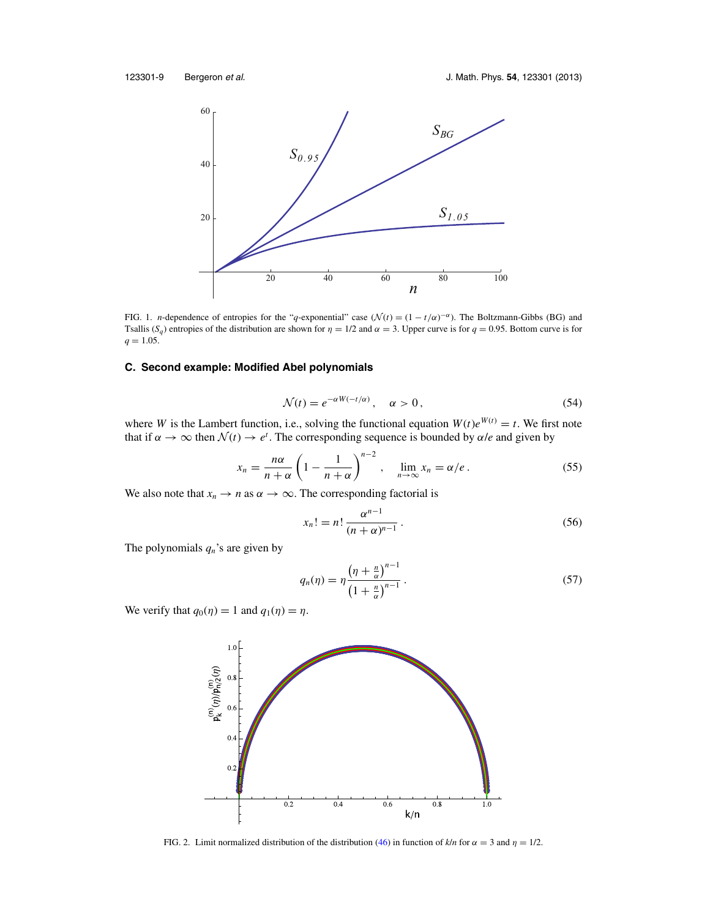<span id="page-9-0"></span>

FIG. 1. *n*-dependence of entropies for the "*q*-exponential" case ( $\mathcal{N}(t) = (1 - t/\alpha)^{-\alpha}$ ). The Boltzmann-Gibbs (BG) and Tsallis (*S<sub>q</sub>*) entropies of the distribution are shown for  $\eta = 1/2$  and  $\alpha = 3$ . Upper curve is for  $q = 0.95$ . Bottom curve is for  $q = 1.05$ .

### **C. Second example: Modified Abel polynomials**

$$
\mathcal{N}(t) = e^{-\alpha W(-t/\alpha)}, \quad \alpha > 0,
$$
\n(54)

where *W* is the Lambert function, i.e., solving the functional equation  $W(t)e^{W(t)} = t$ . We first note that if  $\alpha \to \infty$  then  $\mathcal{N}(t) \to e^t$ . The corresponding sequence is bounded by  $\alpha/e$  and given by

$$
x_n = \frac{n\alpha}{n+\alpha} \left(1 - \frac{1}{n+\alpha}\right)^{n-2}, \quad \lim_{n \to \infty} x_n = \alpha/e. \tag{55}
$$

We also note that  $x_n \to n$  as  $\alpha \to \infty$ . The corresponding factorial is

$$
x_n! = n! \frac{\alpha^{n-1}}{(n+\alpha)^{n-1}}.
$$
 (56)

The polynomials  $q_n$ 's are given by

$$
q_n(\eta) = \eta \frac{\left(\eta + \frac{n}{\alpha}\right)^{n-1}}{\left(1 + \frac{n}{\alpha}\right)^{n-1}}.
$$
\n
$$
(57)
$$

We verify that  $q_0(\eta) = 1$  and  $q_1(\eta) = \eta$ .



FIG. 2. Limit normalized distribution of the distribution [\(46\)](#page-7-0) in function of  $k/n$  for  $\alpha = 3$  and  $\eta = 1/2$ .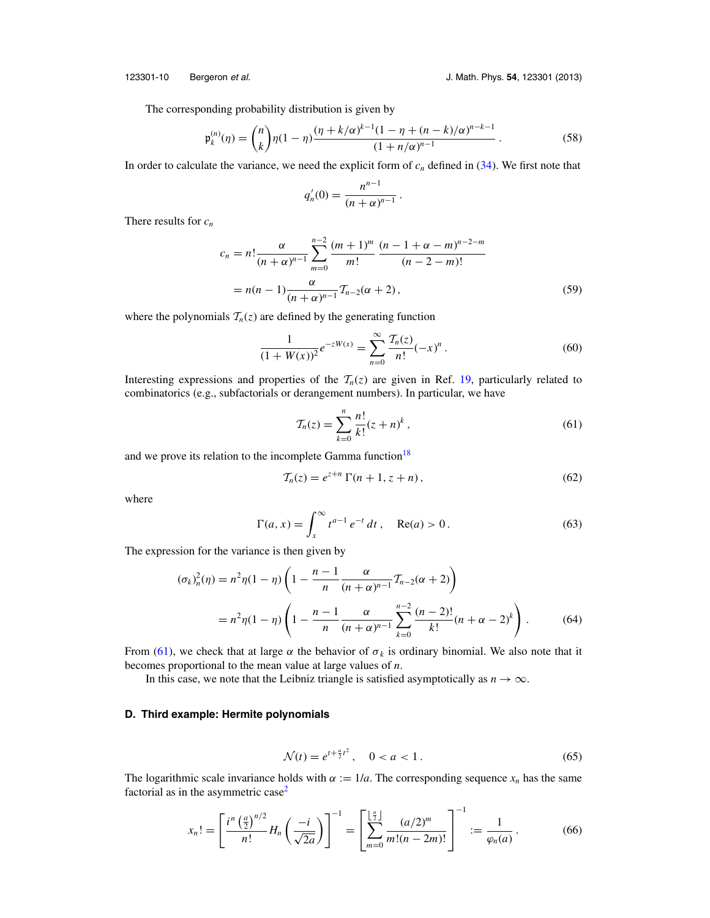123301-10 Bergeron et al. J. Math. Phys. **54**, 123301 (2013)

The corresponding probability distribution is given by

$$
\mathfrak{p}_k^{(n)}(\eta) = \binom{n}{k} \eta(1-\eta) \frac{(\eta + k/\alpha)^{k-1} (1-\eta + (n-k)/\alpha)^{n-k-1}}{(1+n/\alpha)^{n-1}}.
$$
\n(58)

In order to calculate the variance, we need the explicit form of  $c_n$  defined in  $(34)$ . We first note that

$$
q_n'(0) = \frac{n^{n-1}}{(n+\alpha)^{n-1}}.
$$

There results for *cn*

$$
c_n = n! \frac{\alpha}{(n+\alpha)^{n-1}} \sum_{m=0}^{n-2} \frac{(m+1)^m}{m!} \frac{(n-1+\alpha-m)^{n-2-m}}{(n-2-m)!}
$$
  
=  $n(n-1) \frac{\alpha}{(n+\alpha)^{n-1}} T_{n-2}(\alpha+2)$ , (59)

where the polynomials  $T_n(z)$  are defined by the generating function

$$
\frac{1}{(1+W(x))^2}e^{-zW(x)} = \sum_{n=0}^{\infty} \frac{\mathcal{T}_n(z)}{n!}(-x)^n.
$$
 (60)

Interesting expressions and properties of the  $T_n(z)$  are given in Ref. [19,](#page-17-0) particularly related to combinatorics (e.g., subfactorials or derangement numbers). In particular, we have

$$
\mathcal{T}_n(z) = \sum_{k=0}^n \frac{n!}{k!} (z+n)^k ,\qquad (61)
$$

and we prove its relation to the incomplete Gamma function<sup>18</sup>

$$
\mathcal{T}_n(z) = e^{z+n} \Gamma(n+1, z+n), \qquad (62)
$$

where

$$
\Gamma(a, x) = \int_{x}^{\infty} t^{a-1} e^{-t} dt, \quad \text{Re}(a) > 0.
$$
 (63)

The expression for the variance is then given by

$$
(\sigma_k)_n^2(\eta) = n^2 \eta (1 - \eta) \left( 1 - \frac{n-1}{n} \frac{\alpha}{(n+\alpha)^{n-1}} T_{n-2}(\alpha + 2) \right)
$$
  
=  $n^2 \eta (1 - \eta) \left( 1 - \frac{n-1}{n} \frac{\alpha}{(n+\alpha)^{n-1}} \sum_{k=0}^{n-2} \frac{(n-2)!}{k!} (n+\alpha - 2)^k \right).$  (64)

From (61), we check that at large  $\alpha$  the behavior of  $\sigma_k$  is ordinary binomial. We also note that it becomes proportional to the mean value at large values of *n*.

In this case, we note that the Leibniz triangle is satisfied asymptotically as  $n \to \infty$ .

#### **D. Third example: Hermite polynomials**

$$
\mathcal{N}(t) = e^{t + \frac{a}{2}t^2}, \quad 0 < a < 1. \tag{65}
$$

The logarithmic scale invariance holds with  $\alpha := 1/a$ . The corresponding sequence  $x_n$  has the same factorial as in the asymmetric  $case<sup>2</sup>$ 

$$
x_n! = \left[\frac{i^n \left(\frac{a}{2}\right)^{n/2}}{n!} H_n\left(\frac{-i}{\sqrt{2a}}\right)\right]^{-1} = \left[\sum_{m=0}^{\left\lfloor \frac{n}{2} \right\rfloor} \frac{(a/2)^m}{m!(n-2m)!}\right]^{-1} := \frac{1}{\varphi_n(a)}.
$$
 (66)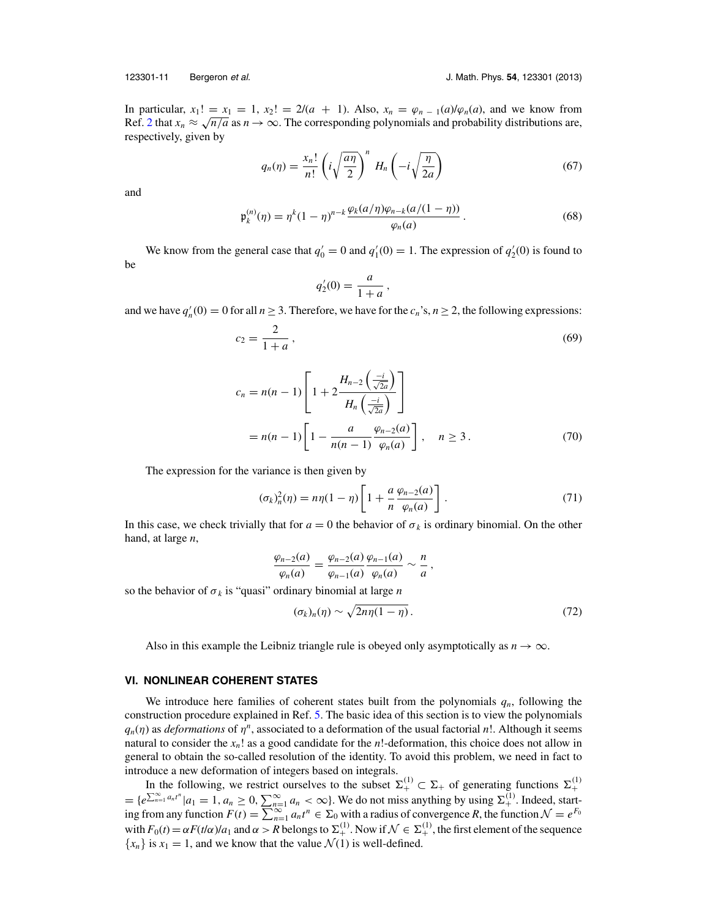<span id="page-11-0"></span>

In particular,  $x_1! = x_1 = 1$ ,  $x_2! = 2/(a + 1)$ . Also,  $x_n = \varphi_{n-1}(a)/\varphi_n(a)$ , and we know from Ref. [2](#page-16-0) that  $x_n \approx \sqrt{n/a}$  as  $n \to \infty$ . The corresponding polynomials and probability distributions are, respectively, given by

$$
q_n(\eta) = \frac{x_n!}{n!} \left( i \sqrt{\frac{a\eta}{2}} \right)^n H_n\left( -i \sqrt{\frac{\eta}{2a}} \right) \tag{67}
$$

and

$$
\mathfrak{p}_{k}^{(n)}(\eta) = \eta^{k} (1 - \eta)^{n-k} \frac{\varphi_{k}(a/\eta)\varphi_{n-k}(a/(1 - \eta))}{\varphi_{n}(a)}.
$$
\n(68)

We know from the general case that  $q'_0 = 0$  and  $q'_1(0) = 1$ . The expression of  $q'_2(0)$  is found to be

$$
q'_2(0) = \frac{a}{1+a} \,,
$$

and we have  $q'_n(0) = 0$  for all  $n \ge 3$ . Therefore, we have for the  $c_n$ 's,  $n \ge 2$ , the following expressions:

$$
c_2 = \frac{2}{1+a},\tag{69}
$$

$$
c_n = n(n-1) \left[ 1 + 2 \frac{H_{n-2} \left( \frac{-i}{\sqrt{2a}} \right)}{H_n \left( \frac{-i}{\sqrt{2a}} \right)} \right]
$$
  
=  $n(n-1) \left[ 1 - \frac{a}{n(n-1)} \frac{\varphi_{n-2}(a)}{\varphi_n(a)} \right], \quad n \ge 3.$  (70)

The expression for the variance is then given by

$$
(\sigma_k)_n^2(\eta) = n\eta(1-\eta) \left[ 1 + \frac{a}{n} \frac{\varphi_{n-2}(a)}{\varphi_n(a)} \right]. \tag{71}
$$

In this case, we check trivially that for  $a = 0$  the behavior of  $\sigma_k$  is ordinary binomial. On the other hand, at large *n*,

$$
\frac{\varphi_{n-2}(a)}{\varphi_n(a)}=\frac{\varphi_{n-2}(a)}{\varphi_{n-1}(a)}\frac{\varphi_{n-1}(a)}{\varphi_n(a)}\sim\frac{n}{a},
$$

so the behavior of  $\sigma_k$  is "quasi" ordinary binomial at large *n* 

$$
(\sigma_k)_n(\eta) \sim \sqrt{2n\eta(1-\eta)}\,. \tag{72}
$$

Also in this example the Leibniz triangle rule is obeyed only asymptotically as  $n \to \infty$ .

#### **VI. NONLINEAR COHERENT STATES**

We introduce here families of coherent states built from the polynomials  $q_n$ , following the construction procedure explained in Ref. [5.](#page-16-0) The basic idea of this section is to view the polynomials  $q_n(\eta)$  as *deformations* of  $\eta^n$ , associated to a deformation of the usual factorial *n*!. Although it seems natural to consider the *xn*! as a good candidate for the *n*!-deformation, this choice does not allow in general to obtain the so-called resolution of the identity. To avoid this problem, we need in fact to introduce a new deformation of integers based on integrals.

In the following, we restrict ourselves to the subset  $\Sigma^{(1)}_+ \subset \Sigma_+$  of generating functions  $\Sigma^{(1)}_+$  $=$  { $e^{\sum_{n=1}^{\infty} a_n t^n} |a_1 = 1, a_n \ge 0, \sum_{n=1}^{\infty} a_n < \infty$ }. We do not miss anything by using  $\Sigma^{(1)}_+$ . Indeed, starting from any function  $F(t) = \sum_{n=1}^{\infty} a_n t^n \in \Sigma_0$  with a radius of convergence *R*, the function  $\mathcal{N} = e^{F_0}$ with  $F_0(t) = \alpha F(t/\alpha)/a_1$  and  $\alpha > R$  belongs to  $\Sigma_+^{(1)}$ . Now if  $\mathcal{N} \in \Sigma_+^{(1)}$ , the first element of the sequence  ${x_n}$  is  $x_1 = 1$ , and we know that the value  $\mathcal{N}(1)$  is well-defined.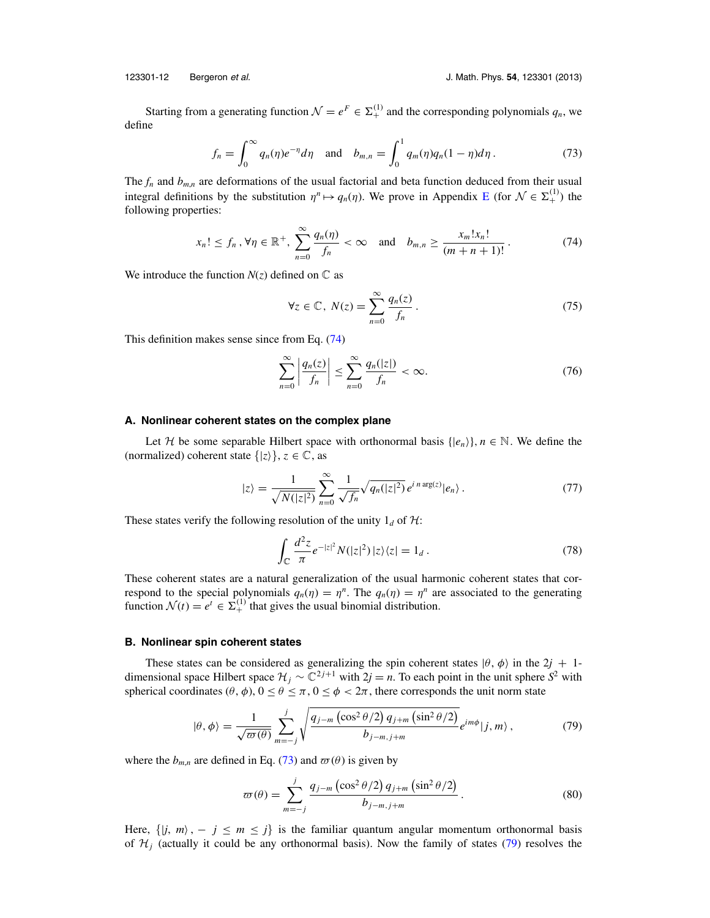Starting from a generating function  $\mathcal{N} = e^F \in \Sigma^{(1)}_+$  and the corresponding polynomials  $q_n$ , we define

$$
f_n = \int_0^\infty q_n(\eta) e^{-\eta} d\eta \quad \text{and} \quad b_{m,n} = \int_0^1 q_m(\eta) q_n (1 - \eta) d\eta \,. \tag{73}
$$

The  $f_n$  and  $b_{m,n}$  are deformations of the usual factorial and beta function deduced from their usual integral definitions by the substitution  $\eta^n \mapsto q_n(\eta)$ . We prove in Appendix [E](#page-16-0) (for  $\mathcal{N} \in \Sigma^{(1)}_+$ ) the following properties:

$$
x_n! \le f_n \,, \forall \eta \in \mathbb{R}^+, \sum_{n=0}^{\infty} \frac{q_n(\eta)}{f_n} < \infty \quad \text{and} \quad b_{m,n} \ge \frac{x_m! x_n!}{(m+n+1)!} \,. \tag{74}
$$

We introduce the function  $N(z)$  defined on  $\mathbb C$  as

$$
\forall z \in \mathbb{C}, \ N(z) = \sum_{n=0}^{\infty} \frac{q_n(z)}{f_n} \,. \tag{75}
$$

This definition makes sense since from Eq. (74)

$$
\sum_{n=0}^{\infty} \left| \frac{q_n(z)}{f_n} \right| \le \sum_{n=0}^{\infty} \frac{q_n(|z|)}{f_n} < \infty. \tag{76}
$$

#### **A. Nonlinear coherent states on the complex plane**

Let H be some separable Hilbert space with orthonormal basis  $\{ |e_n \rangle \}$ ,  $n \in \mathbb{N}$ . We define the (normalized) coherent state  $\{|z\rangle\}$ ,  $z \in \mathbb{C}$ , as

$$
|z\rangle = \frac{1}{\sqrt{N(|z|^2)}} \sum_{n=0}^{\infty} \frac{1}{\sqrt{f_n}} \sqrt{q_n(|z|^2)} e^{i n \arg(z)} |e_n\rangle. \tag{77}
$$

These states verify the following resolution of the unity  $1_d$  of H:

$$
\int_{\mathbb{C}} \frac{d^2 z}{\pi} e^{-|z|^2} N(|z|^2) |z\rangle\langle z| = 1_d.
$$
\n(78)

These coherent states are a natural generalization of the usual harmonic coherent states that correspond to the special polynomials  $q_n(\eta) = \eta^n$ . The  $q_n(\eta) = \eta^n$  are associated to the generating function  $\mathcal{N}(t) = e^t \in \Sigma_+^{(1)}$  that gives the usual binomial distribution.

#### **B. Nonlinear spin coherent states**

These states can be considered as generalizing the spin coherent states  $|\theta, \phi\rangle$  in the 2*j* + 1dimensional space Hilbert space  $\mathcal{H}_j \sim \mathbb{C}^{2j+1}$  with  $2j = n$ . To each point in the unit sphere  $S^2$  with spherical coordinates  $(\theta, \phi)$ ,  $0 \le \theta \le \pi$ ,  $0 \le \phi < 2\pi$ , there corresponds the unit norm state

$$
|\theta,\phi\rangle = \frac{1}{\sqrt{\omega(\theta)}} \sum_{m=-j}^{j} \sqrt{\frac{q_{j-m} \left(\cos^2\theta/2\right) q_{j+m} \left(\sin^2\theta/2\right)}{b_{j-m,j+m}}} e^{im\phi} |j,m\rangle, \tag{79}
$$

where the  $b_{m,n}$  are defined in Eq. (73) and  $\varpi(\theta)$  is given by

$$
\varpi(\theta) = \sum_{m=-j}^{j} \frac{q_{j-m} (\cos^2 \theta/2) q_{j+m} (\sin^2 \theta/2)}{b_{j-m,j+m}}.
$$
\n(80)

Here,  $\{|j, m\rangle, -j \le m \le j\}$  is the familiar quantum angular momentum orthonormal basis of  $\mathcal{H}_j$  (actually it could be any orthonormal basis). Now the family of states (79) resolves the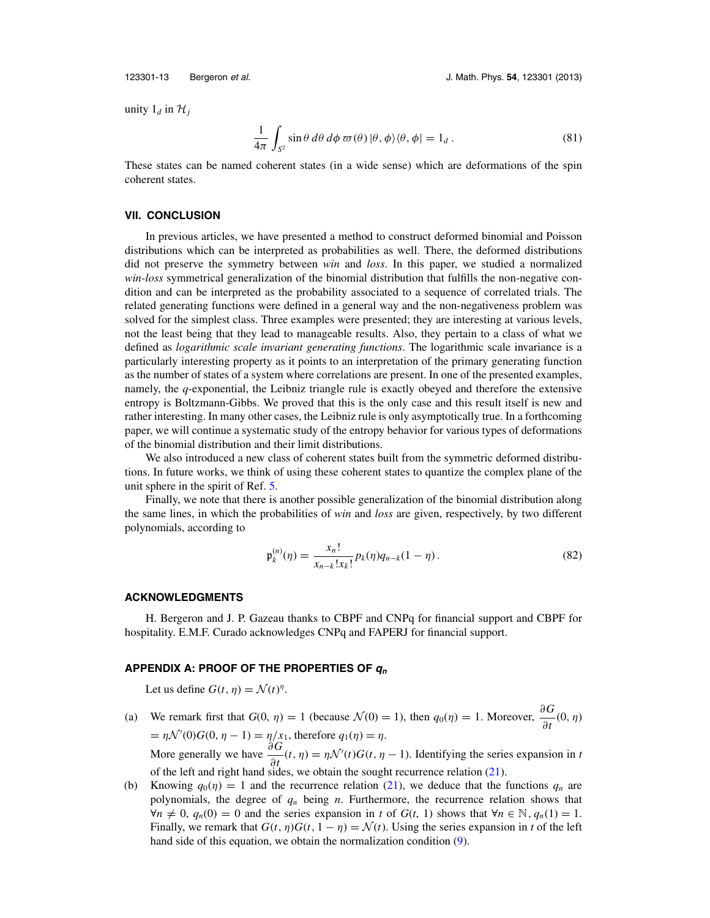<span id="page-13-0"></span>

unity  $1_d$  in  $\mathcal{H}_i$ 

$$
\frac{1}{4\pi} \int_{S^2} \sin \theta \, d\theta \, d\phi \, \varpi(\theta) \, |\theta, \phi\rangle \langle \theta, \phi| = 1_d \,. \tag{81}
$$

These states can be named coherent states (in a wide sense) which are deformations of the spin coherent states.

#### **VII. CONCLUSION**

In previous articles, we have presented a method to construct deformed binomial and Poisson distributions which can be interpreted as probabilities as well. There, the deformed distributions did not preserve the symmetry between *win* and *loss*. In this paper, we studied a normalized *win-loss* symmetrical generalization of the binomial distribution that fulfills the non-negative condition and can be interpreted as the probability associated to a sequence of correlated trials. The related generating functions were defined in a general way and the non-negativeness problem was solved for the simplest class. Three examples were presented; they are interesting at various levels, not the least being that they lead to manageable results. Also, they pertain to a class of what we defined as *logarithmic scale invariant generating functions*. The logarithmic scale invariance is a particularly interesting property as it points to an interpretation of the primary generating function as the number of states of a system where correlations are present. In one of the presented examples, namely, the *q*-exponential, the Leibniz triangle rule is exactly obeyed and therefore the extensive entropy is Boltzmann-Gibbs. We proved that this is the only case and this result itself is new and rather interesting. In many other cases, the Leibniz rule is only asymptotically true. In a forthcoming paper, we will continue a systematic study of the entropy behavior for various types of deformations of the binomial distribution and their limit distributions.

We also introduced a new class of coherent states built from the symmetric deformed distributions. In future works, we think of using these coherent states to quantize the complex plane of the unit sphere in the spirit of Ref. [5.](#page-16-0)

Finally, we note that there is another possible generalization of the binomial distribution along the same lines, in which the probabilities of *win* and *loss* are given, respectively, by two different polynomials, according to

$$
\mathfrak{p}_k^{(n)}(\eta) = \frac{x_n!}{x_{n-k}!x_k!} p_k(\eta) q_{n-k}(1-\eta). \tag{82}
$$

#### **ACKNOWLEDGMENTS**

H. Bergeron and J. P. Gazeau thanks to CBPF and CNPq for financial support and CBPF for hospitality. E.M.F. Curado acknowledges CNPq and FAPERJ for financial support.

#### **APPENDIX A: PROOF OF THE PROPERTIES OF q<sup>n</sup>**

Let us define  $G(t, \eta) = \mathcal{N}(t)^{\eta}$ .

(a) We remark first that  $G(0, \eta) = 1$  (because  $\mathcal{N}(0) = 1$ ), then  $q_0(\eta) = 1$ . Moreover,  $\frac{\partial G}{\partial \eta}$  $\frac{\partial}{\partial t}(0,\eta)$  $= \eta \mathcal{N}'(0)G(0, \eta - 1) = \eta/x_1$ , therefore  $q_1(\eta) = \eta$ . More generally we have  $\frac{\partial G}{\partial \phi}$  $\frac{\partial G}{\partial t}(t, \eta) = \eta \mathcal{N}'(t) G(t, \eta - 1)$ . Identifying the series expansion in *t* 

of the left and right hand sides, we obtain the sought recurrence relation [\(21\)](#page-4-0).

(b) Knowing  $q_0(\eta) = 1$  and the recurrence relation [\(21\)](#page-4-0), we deduce that the functions  $q_n$  are polynomials, the degree of *qn* being *n*. Furthermore, the recurrence relation shows that  $\forall n \neq 0$ ,  $q_n(0) = 0$  and the series expansion in *t* of *G*(*t*, 1) shows that  $\forall n \in \mathbb{N}$ ,  $q_n(1) = 1$ . Finally, we remark that  $G(t, \eta)G(t, 1 - \eta) = \mathcal{N}(t)$ . Using the series expansion in *t* of the left hand side of this equation, we obtain the normalization condition [\(9\)](#page-3-0).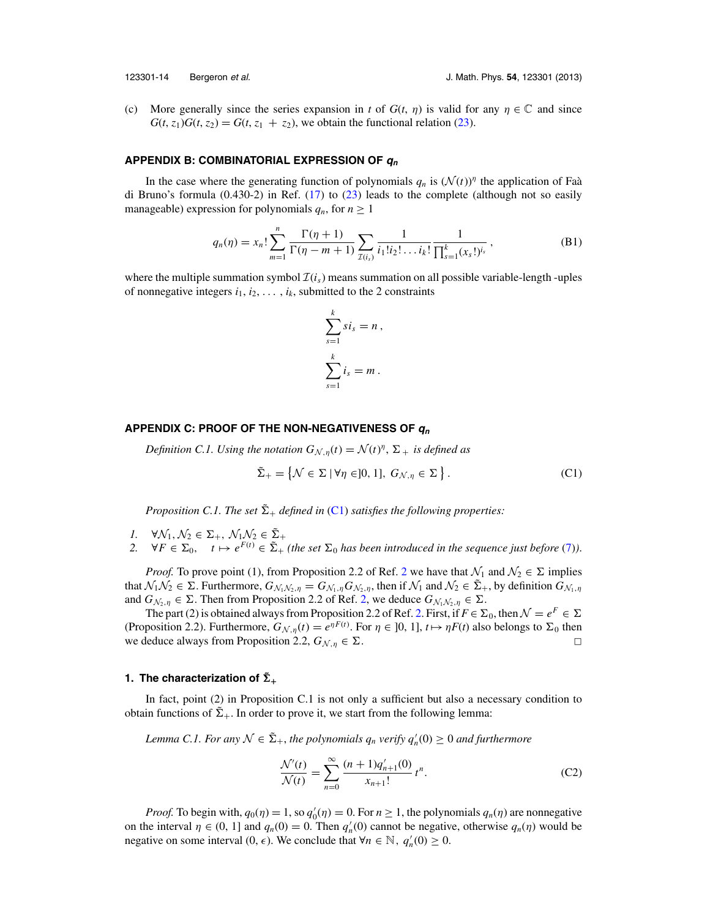<span id="page-14-0"></span>

(c) More generally since the series expansion in *t* of  $G(t, \eta)$  is valid for any  $\eta \in \mathbb{C}$  and since  $G(t, z_1)G(t, z_2) = G(t, z_1 + z_2)$ , we obtain the functional relation [\(23\)](#page-5-0).

#### **APPENDIX B: COMBINATORIAL EXPRESSION OF q<sup>n</sup>**

In the case where the generating function of polynomials  $q_n$  is  $(\mathcal{N}(t))^n$  the application of Faa` di Bruno's formula (0.430-2) in Ref. [\(17\)](#page-17-0) to [\(23\)](#page-5-0) leads to the complete (although not so easily manageable) expression for polynomials  $q_n$ , for  $n \geq 1$ 

$$
q_n(\eta) = x_n! \sum_{m=1}^n \frac{\Gamma(\eta+1)}{\Gamma(\eta-m+1)} \sum_{\mathcal{I}(i_s)} \frac{1}{i_1! i_2! \dots i_k!} \frac{1}{\prod_{s=1}^k (x_s!)^{i_s}},
$$
(B1)

where the multiple summation symbol  $\mathcal{I}(i<sub>s</sub>)$  means summation on all possible variable-length -uples of nonnegative integers  $i_1, i_2, \ldots, i_k$ , submitted to the 2 constraints

$$
\sum_{s=1}^{k} s i_s = n ,
$$
  

$$
\sum_{s=1}^{k} i_s = m .
$$

#### **APPENDIX C: PROOF OF THE NON-NEGATIVENESS OF q<sup>n</sup>**

*Definition C.1. Using the notation*  $G_{N,\eta}(t) = \mathcal{N}(t)^{\eta}$ ,  $\Sigma_{+}$  *is defined as* 

$$
\tilde{\Sigma}_{+} = \left\{ \mathcal{N} \in \Sigma \mid \forall \eta \in ]0, 1], G_{\mathcal{N}, \eta} \in \Sigma \right\}.
$$
 (C1)

*Proposition C.1. The set*  $\tilde{\Sigma}_+$  *defined in* (C1) *satisfies the following properties:* 

- *1.*  $\forall \mathcal{N}_1, \mathcal{N}_2 \in \Sigma_+, \mathcal{N}_1 \mathcal{N}_2 \in \tilde{\Sigma}_+$
- *2.*  $\forall F \in \Sigma_0$ ,  $t \mapsto e^{F(t)} \in \tilde{\Sigma}_+$  (the set  $\Sigma_0$  has been introduced in the sequence just before [\(7\)](#page-3-0)).

*Proof.* To prove point (1), from Proposition [2](#page-16-0).2 of Ref. 2 we have that  $\mathcal{N}_1$  and  $\mathcal{N}_2 \in \Sigma$  implies that  $\mathcal{N}_1 \mathcal{N}_2 \in \Sigma$ . Furthermore,  $G_{\mathcal{N}_1,\mathcal{N}_2,\eta} = G_{\mathcal{N}_1,\eta} G_{\mathcal{N}_2,\eta}$ , then if  $\mathcal{N}_1$  and  $\mathcal{N}_2 \in \tilde{\Sigma}_+$ , by definition  $G_{\mathcal{N}_1,\eta}$ and  $G_{\mathcal{N}_2,\eta} \in \Sigma$  $G_{\mathcal{N}_2,\eta} \in \Sigma$  $G_{\mathcal{N}_2,\eta} \in \Sigma$ . Then from Proposition 2.2 of Ref. 2, we deduce  $G_{\mathcal{N}_1,\mathcal{N}_2,\eta} \in \Sigma$ .

The part (2) is obtained always from Proposition [2.](#page-16-0)2 of Ref. 2. First, if  $F \in \Sigma_0$ , then  $\mathcal{N} = e^F \in \Sigma$ (Proposition 2.2). Furthermore,  $G_{N,\eta}(t) = e^{\eta F(t)}$ . For  $\eta \in ]0, 1]$ ,  $t \mapsto \eta F(t)$  also belongs to  $\Sigma_0$  then we deduce always from Proposition 2.2,  $G_{\mathcal{N},\eta} \in \Sigma$ .

## **1. The characterization of**  $\tilde{\Sigma}_+$

In fact, point (2) in Proposition C.1 is not only a sufficient but also a necessary condition to obtain functions of  $\Sigma_{+}$ . In order to prove it, we start from the following lemma:

*Lemma C.1. For any*  $\mathcal{N} \in \tilde{\Sigma}_{+}$ , *the polynomials*  $q_n$  *verify*  $q'_n(0) \geq 0$  *and furthermore* 

$$
\frac{\mathcal{N}'(t)}{\mathcal{N}(t)} = \sum_{n=0}^{\infty} \frac{(n+1)q'_{n+1}(0)}{x_{n+1}!} t^n.
$$
 (C2)

*Proof.* To begin with,  $q_0(\eta) = 1$ , so  $q'_0(\eta) = 0$ . For  $n \ge 1$ , the polynomials  $q_n(\eta)$  are nonnegative on the interval  $\eta \in (0, 1]$  and  $q_n(0) = 0$ . Then  $q'_n(0)$  cannot be negative, otherwise  $q_n(\eta)$  would be negative on some interval  $(0, \epsilon)$ . We conclude that  $\forall n \in \mathbb{N}, q'_n(0) \ge 0$ .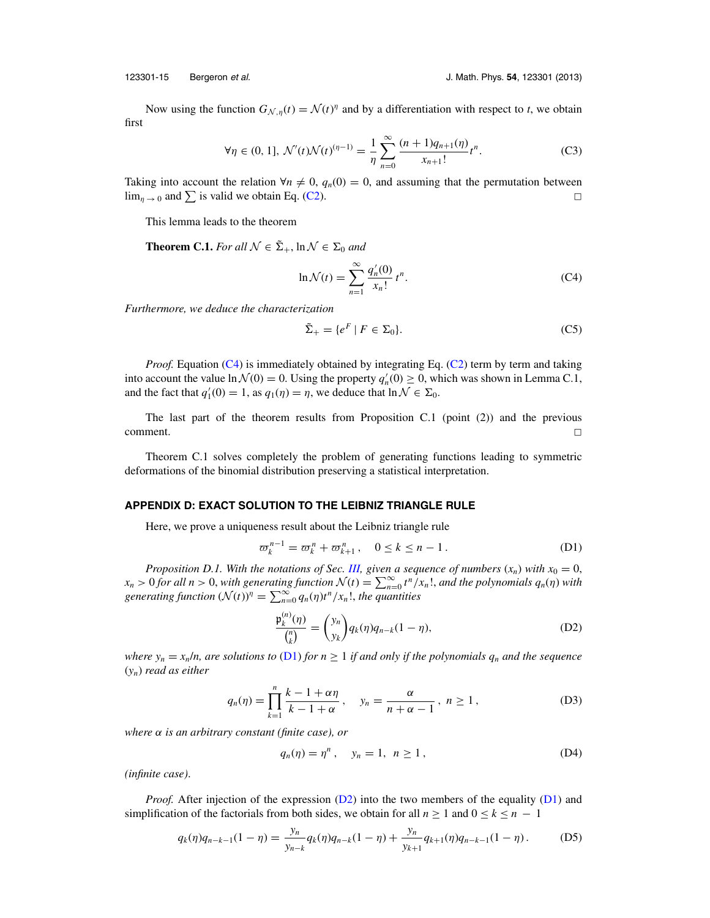<span id="page-15-0"></span>

Now using the function  $G_{N,\eta}(t) = \mathcal{N}(t)^{\eta}$  and by a differentiation with respect to *t*, we obtain first

$$
\forall \eta \in (0, 1], \mathcal{N}'(t)\mathcal{N}(t)^{(\eta - 1)} = \frac{1}{\eta} \sum_{n=0}^{\infty} \frac{(n+1)q_{n+1}(\eta)}{x_{n+1}!} t^n.
$$
 (C3)

Taking into account the relation  $\forall n \neq 0$ ,  $q_n(0) = 0$ , and assuming that the permutation between  $\lim_{\eta \to 0}$  and  $\sum$  is valid we obtain Eq. [\(C2\)](#page-14-0).

This lemma leads to the theorem

**Theorem C.1.** *For all*  $\mathcal{N} \in \Sigma_+$ ,  $\ln \mathcal{N} \in \Sigma_0$  *and* 

$$
\ln \mathcal{N}(t) = \sum_{n=1}^{\infty} \frac{q'_n(0)}{x_n!} t^n.
$$
 (C4)

*Furthermore, we deduce the characterization*

$$
\tilde{\Sigma}_+ = \{ e^F \mid F \in \Sigma_0 \}.
$$
 (C5)

*Proof.* Equation (C4) is immediately obtained by integrating Eq. [\(C2\)](#page-14-0) term by term and taking into account the value  $\ln \mathcal{N}(0) = 0$ . Using the property  $q'_n(0) \ge 0$ , which was shown in Lemma C.1, and the fact that  $q'_1(0) = 1$ , as  $q_1(\eta) = \eta$ , we deduce that  $\ln \mathcal{N} \in \Sigma_0$ .

The last part of the theorem results from Proposition C.1 (point (2)) and the previous  $\Box$ 

Theorem C.1 solves completely the problem of generating functions leading to symmetric deformations of the binomial distribution preserving a statistical interpretation.

#### **APPENDIX D: EXACT SOLUTION TO THE LEIBNIZ TRIANGLE RULE**

Here, we prove a uniqueness result about the Leibniz triangle rule

$$
\varpi_k^{n-1} = \varpi_k^n + \varpi_{k+1}^n, \quad 0 \le k \le n-1.
$$
 (D1)

*Proposition D.1. With the notations of Sec. [III,](#page-3-0) given a sequence of numbers*  $(x_n)$  *with*  $x_0 = 0$ ,  $x_n > 0$  *for all n* > 0, *with generating function*  $\mathcal{N}(t) = \sum_{n=0}^{\infty} t^n / x_n!$ , *and the polynomials*  $q_n(\eta)$  *with generating function*  $(\mathcal{N}(t))^{\eta} = \sum_{n=0}^{\infty} q_n(\eta) t^n / x_n!$ , *the quantities* 

$$
\frac{\mathfrak{p}_k^{(n)}(\eta)}{\binom{n}{k}} = \binom{y_n}{y_k} q_k(\eta) q_{n-k} (1 - \eta),\tag{D2}
$$

*where*  $y_n = x_n/n$ , are solutions to (D1) for  $n \ge 1$  *if and only if the polynomials*  $q_n$  *and the sequence* (*yn*) *read as either*

$$
q_n(\eta) = \prod_{k=1}^n \frac{k-1+\alpha\eta}{k-1+\alpha}, \quad y_n = \frac{\alpha}{n+\alpha-1}, \quad n \ge 1,
$$
 (D3)

*where* α *is an arbitrary constant (finite case), or*

$$
q_n(\eta) = \eta^n, \quad y_n = 1, \; n \ge 1,
$$
 (D4)

*(infinite case)*.

*Proof.* After injection of the expression (D2) into the two members of the equality (D1) and simplification of the factorials from both sides, we obtain for all  $n \ge 1$  and  $0 \le k \le n - 1$ 

$$
q_k(\eta)q_{n-k-1}(1-\eta) = \frac{y_n}{y_{n-k}}q_k(\eta)q_{n-k}(1-\eta) + \frac{y_n}{y_{k+1}}q_{k+1}(\eta)q_{n-k-1}(1-\eta). \tag{D5}
$$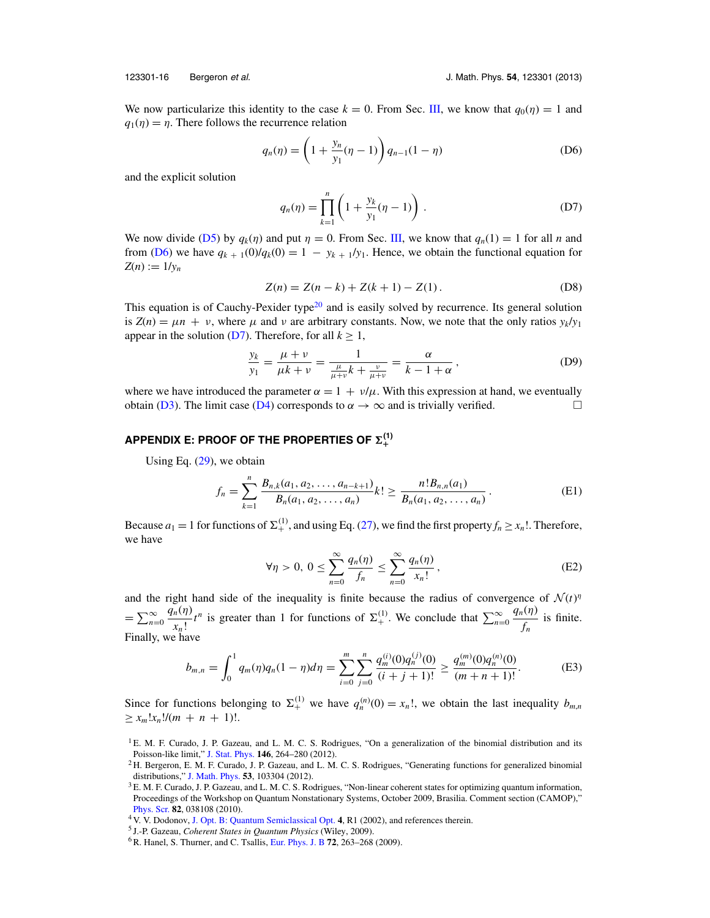<span id="page-16-0"></span>

We now particularize this identity to the case  $k = 0$ . From Sec. [III,](#page-3-0) we know that  $q_0(\eta) = 1$  and  $q_1(\eta) = \eta$ . There follows the recurrence relation

$$
q_n(\eta) = \left(1 + \frac{y_n}{y_1}(\eta - 1)\right) q_{n-1}(1 - \eta)
$$
 (D6)

and the explicit solution

$$
q_n(\eta) = \prod_{k=1}^n \left( 1 + \frac{y_k}{y_1} (\eta - 1) \right).
$$
 (D7)

We now divide [\(D5\)](#page-15-0) by  $q_k(\eta)$  and put  $\eta = 0$ . From Sec. [III,](#page-3-0) we know that  $q_n(1) = 1$  for all *n* and from (D6) we have  $q_{k+1}(0)/q_k(0) = 1 - y_{k+1}/y_1$ . Hence, we obtain the functional equation for  $Z(n) := 1/y_n$ 

$$
Z(n) = Z(n-k) + Z(k+1) - Z(1).
$$
 (D8)

This equation is of Cauchy-Pexider type<sup>20</sup> and is easily solved by recurrence. Its general solution is  $Z(n) = \mu n + \nu$ , where  $\mu$  and  $\nu$  are arbitrary constants. Now, we note that the only ratios  $v_k/v_1$ appear in the solution ( $D7$ ). Therefore, for all  $k \geq 1$ ,

$$
\frac{y_k}{y_1} = \frac{\mu + \nu}{\mu k + \nu} = \frac{1}{\frac{\mu}{\mu + \nu}k + \frac{\nu}{\mu + \nu}} = \frac{\alpha}{k - 1 + \alpha},
$$
 (D9)

where we have introduced the parameter  $\alpha = 1 + v/\mu$ . With this expression at hand, we eventually obtain [\(D3\)](#page-15-0). The limit case [\(D4\)](#page-15-0) corresponds to  $\alpha \to \infty$  and is trivially verified.  $\Box$ 

#### $\mathsf{APPENDIX}$  E: PROOF OF THE PROPERTIES OF  $\Sigma^{(1)}_+$ **+**

Using Eq. [\(29\)](#page-5-0), we obtain

$$
f_n = \sum_{k=1}^n \frac{B_{n,k}(a_1, a_2, \dots, a_{n-k+1})}{B_n(a_1, a_2, \dots, a_n)} k! \ge \frac{n! B_{n,n}(a_1)}{B_n(a_1, a_2, \dots, a_n)}.
$$
 (E1)

Because  $a_1 = 1$  for functions of  $\Sigma_+^{(1)}$ , and using Eq. [\(27\)](#page-5-0), we find the first property  $f_n \ge x_n!$ . Therefore, we have

$$
\forall \eta > 0, \ 0 \le \sum_{n=0}^{\infty} \frac{q_n(\eta)}{f_n} \le \sum_{n=0}^{\infty} \frac{q_n(\eta)}{x_n!},\tag{E2}
$$

and the right hand side of the inequality is finite because the radius of convergence of  $\mathcal{N}(t)$ <sup>n</sup>  $=\sum_{n=0}^{\infty}$ *qn*(η)  $\frac{n(\eta)}{x_n!}t^n$  is greater than 1 for functions of  $\Sigma^{(1)}_+$ . We conclude that  $\sum_{n=0}^{\infty}$ *qn*(η)  $\frac{\partial f}{\partial n}$  is finite. Finally, we have

$$
b_{m,n} = \int_0^1 q_m(\eta) q_n(1-\eta) d\eta = \sum_{i=0}^m \sum_{j=0}^n \frac{q_m^{(i)}(0) q_n^{(j)}(0)}{(i+j+1)!} \ge \frac{q_m^{(m)}(0) q_n^{(n)}(0)}{(m+n+1)!}.
$$
 (E3)

Since for functions belonging to  $\Sigma^{(1)}_+$  we have  $q_n^{(n)}(0) = x_n!$ , we obtain the last inequality  $b_{m,n}$  $\geq x_m!x_n!/(m + n + 1)!$ .

<sup>&</sup>lt;sup>1</sup> E. M. F. Curado, J. P. Gazeau, and L. M. C. S. Rodrigues, "On a generalization of the binomial distribution and its Poisson-like limit," [J. Stat. Phys.](http://dx.doi.org/10.1007/s10955-011-0383-8) **146**, 264–280 (2012).

<sup>&</sup>lt;sup>2</sup> H. Bergeron, E. M. F. Curado, J. P. Gazeau, and L. M. C. S. Rodrigues, "Generating functions for generalized binomial distributions," [J. Math. Phys.](http://dx.doi.org/10.1063/1.4757601) **53**, 103304 (2012).

<sup>&</sup>lt;sup>3</sup> E. M. F. Curado, J. P. Gazeau, and L. M. C. S. Rodrigues, "Non-linear coherent states for optimizing quantum information, Proceedings of the Workshop on Quantum Nonstationary Systems, October 2009, Brasilia. Comment section (CAMOP)," [Phys. Scr.](http://dx.doi.org/10.1088/0031-8949/82/03/038108) **82**, 038108 (2010).

<sup>4</sup> V. V. Dodonov, [J. Opt. B: Quantum Semiclassical Opt.](http://dx.doi.org/10.1088/1464-4266/4/1/201) **4**, R1 (2002), and references therein.

<sup>5</sup> J.-P. Gazeau, *Coherent States in Quantum Physics* (Wiley, 2009).

<sup>6</sup>R. Hanel, S. Thurner, and C. Tsallis, [Eur. Phys. J. B](http://dx.doi.org/10.1140/epjb/e2009-00330-1) **72**, 263–268 (2009).